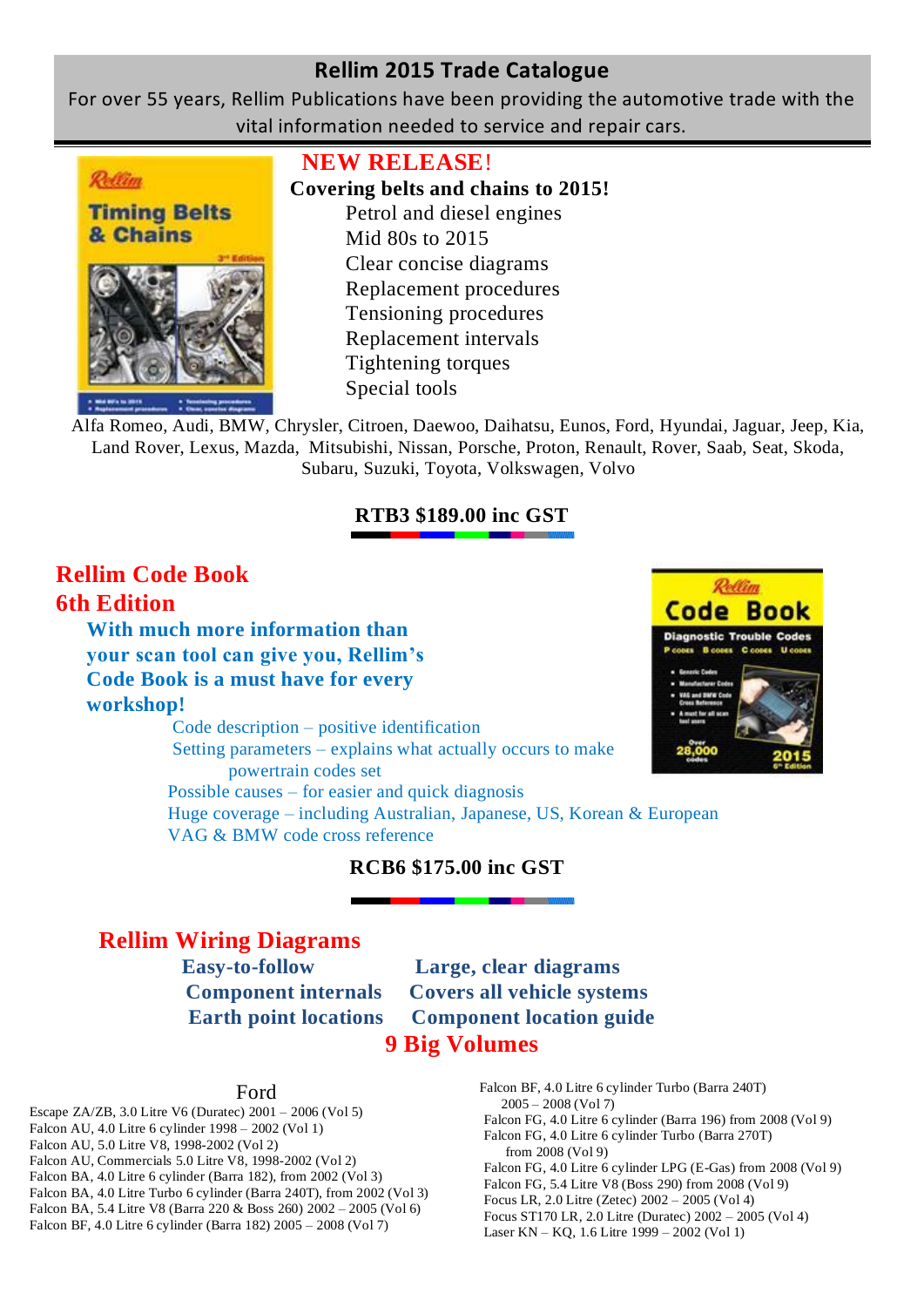For over 55 years, Rellim Publications have been providing the automotive trade with the vital information needed to service and repair cars.



## **NEW RELEASE**!

# **Covering belts and chains to 2015!**

Petrol and diesel engines Mid 80s to 2015 Clear concise diagrams Replacement procedures Tensioning procedures Replacement intervals Tightening torques Special tools

Alfa Romeo, Audi, BMW, Chrysler, Citroen, Daewoo, Daihatsu, Eunos, Ford, Hyundai, Jaguar, Jeep, Kia, Land Rover, Lexus, Mazda, Mitsubishi, Nissan, Porsche, Proton, Renault, Rover, Saab, Seat, Skoda, Subaru, Suzuki, Toyota, Volkswagen, Volvo

## **RTB3 \$189.00 inc GST**

# **Rellim Code Book 6th Edition**

**With much more information than your scan tool can give you, Rellim's Code Book is a must have for every workshop!**

Code description – positive identification Setting parameters – explains what actually occurs to make powertrain codes set Possible causes – for easier and quick diagnosis Huge coverage – including Australian, Japanese, US, Korean & European VAG & BMW code cross reference



# **RCB6 \$175.00 inc GST**

# **Rellim Wiring Diagrams**

 **Easy-to-follow Large, clear diagrams Component internals Covers all vehicle systems Earth point locations Component location guide 9 Big Volumes**

### Ford

- Escape ZA/ZB, 3.0 Litre V6 (Duratec) 2001 2006 (Vol 5) Falcon AU, 4.0 Litre 6 cylinder 1998 – 2002 (Vol 1) Falcon AU, 5.0 Litre V8, 1998-2002 (Vol 2) Falcon AU, Commercials 5.0 Litre V8, 1998-2002 (Vol 2) Falcon BA, 4.0 Litre 6 cylinder (Barra 182), from 2002 (Vol 3) Falcon BA, 4.0 Litre Turbo 6 cylinder (Barra 240T), from 2002 (Vol 3) Falcon BA, 5.4 Litre V8 (Barra 220 & Boss 260) 2002 – 2005 (Vol 6) Falcon BF, 4.0 Litre 6 cylinder (Barra 182) 2005 – 2008 (Vol 7)
- Falcon BF, 4.0 Litre 6 cylinder Turbo (Barra 240T)  $2005 - 2008$  (Vol 7)
- Falcon FG, 4.0 Litre 6 cylinder (Barra 196) from 2008 (Vol 9)
- Falcon FG, 4.0 Litre 6 cylinder Turbo (Barra 270T)
- from 2008 (Vol 9)
- Falcon FG, 4.0 Litre 6 cylinder LPG (E-Gas) from 2008 (Vol 9)
- Falcon FG, 5.4 Litre V8 (Boss 290) from 2008 (Vol 9)
- Focus LR, 2.0 Litre (Zetec) 2002 2005 (Vol 4) Focus ST170 LR, 2.0 Litre (Duratec) 2002 – 2005 (Vol 4)
- 
- Laser KN KQ, 1.6 Litre 1999 2002 (Vol 1)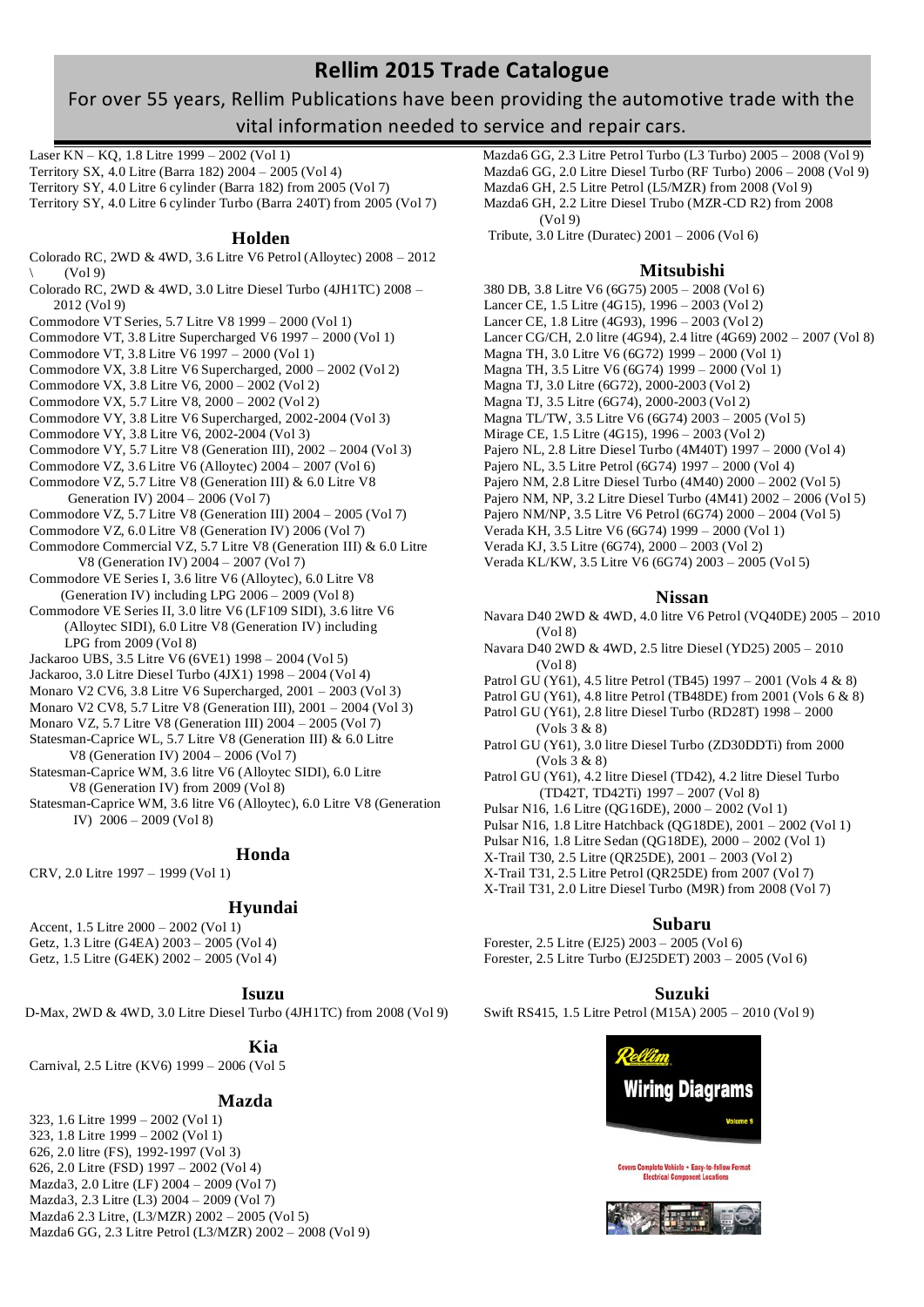## For over 55 years, Rellim Publications have been providing the automotive trade with the vital information needed to service and repair cars.

Laser KN – KQ, 1.8 Litre 1999 – 2002 (Vol 1) Territory SX, 4.0 Litre (Barra 182) 2004 – 2005 (Vol 4) Territory SY, 4.0 Litre 6 cylinder (Barra 182) from 2005 (Vol 7) Territory SY, 4.0 Litre 6 cylinder Turbo (Barra 240T) from 2005 (Vol 7)

#### **Holden**

- Colorado RC, 2WD & 4WD, 3.6 Litre V6 Petrol (Alloytec) 2008 2012  $(Vo19)$
- Colorado RC, 2WD & 4WD, 3.0 Litre Diesel Turbo (4JH1TC) 2008 2012 (Vol 9)
- Commodore VT Series, 5.7 Litre V8 1999 2000 (Vol 1)
- Commodore VT, 3.8 Litre Supercharged V6 1997 2000 (Vol 1)
- Commodore VT, 3.8 Litre V6 1997 2000 (Vol 1)
- Commodore VX, 3.8 Litre V6 Supercharged, 2000 2002 (Vol 2)
- Commodore VX, 3.8 Litre V6, 2000 2002 (Vol 2)
- Commodore VX, 5.7 Litre V8, 2000 2002 (Vol 2)
- Commodore VY, 3.8 Litre V6 Supercharged, 2002-2004 (Vol 3)
- Commodore VY, 3.8 Litre V6, 2002-2004 (Vol 3)
- Commodore VY, 5.7 Litre V8 (Generation III), 2002 2004 (Vol 3)
- Commodore VZ, 3.6 Litre V6 (Alloytec) 2004 2007 (Vol 6) Commodore VZ, 5.7 Litre V8 (Generation III) & 6.0 Litre V8
- Generation IV) 2004 2006 (Vol 7)
- Commodore VZ, 5.7 Litre V8 (Generation III) 2004 2005 (Vol 7)
- Commodore VZ, 6.0 Litre V8 (Generation IV) 2006 (Vol 7)
- Commodore Commercial VZ, 5.7 Litre V8 (Generation III) & 6.0 Litre V8 (Generation IV) 2004 – 2007 (Vol 7)
- Commodore VE Series I, 3.6 litre V6 (Alloytec), 6.0 Litre V8 (Generation IV) including LPG 2006 – 2009 (Vol 8)
- Commodore VE Series II, 3.0 litre V6 (LF109 SIDI), 3.6 litre V6 (Alloytec SIDI), 6.0 Litre V8 (Generation IV) including LPG from 2009 (Vol 8)
- Jackaroo UBS, 3.5 Litre V6 (6VE1) 1998 2004 (Vol 5)
- Jackaroo, 3.0 Litre Diesel Turbo (4JX1) 1998 2004 (Vol 4)
- Monaro V2 CV6, 3.8 Litre V6 Supercharged, 2001 2003 (Vol 3)
- Monaro V2 CV8, 5.7 Litre V8 (Generation III), 2001 2004 (Vol 3)
- Monaro VZ, 5.7 Litre V8 (Generation III) 2004 2005 (Vol 7) Statesman-Caprice WL, 5.7 Litre V8 (Generation III) & 6.0 Litre
- V8 (Generation IV) 2004 2006 (Vol 7)
- Statesman-Caprice WM, 3.6 litre V6 (Alloytec SIDI), 6.0 Litre V8 (Generation IV) from 2009 (Vol 8)
- Statesman-Caprice WM, 3.6 litre V6 (Alloytec), 6.0 Litre V8 (Generation IV) 2006 – 2009 (Vol 8)

### **Honda**

CRV, 2.0 Litre 1997 – 1999 (Vol 1)

### **Hyundai**

Accent, 1.5 Litre 2000 – 2002 (Vol 1) Getz, 1.3 Litre (G4EA) 2003 – 2005 (Vol 4) Getz, 1.5 Litre (G4EK) 2002 – 2005 (Vol 4)

### **Isuzu**

D-Max, 2WD & 4WD, 3.0 Litre Diesel Turbo (4JH1TC) from 2008 (Vol 9)

### **Kia**

Carnival, 2.5 Litre (KV6) 1999 – 2006 (Vol 5

### **Mazda**

323, 1.6 Litre 1999 – 2002 (Vol 1) 323, 1.8 Litre 1999 – 2002 (Vol 1) 626, 2.0 litre (FS), 1992-1997 (Vol 3) 626, 2.0 Litre (FSD) 1997 – 2002 (Vol 4) Mazda3, 2.0 Litre (LF) 2004 – 2009 (Vol 7) Mazda3, 2.3 Litre (L3) 2004 – 2009 (Vol 7) Mazda6 2.3 Litre, (L3/MZR) 2002 – 2005 (Vol 5) Mazda6 GG, 2.3 Litre Petrol (L3/MZR) 2002 – 2008 (Vol 9) Mazda6 GG, 2.3 Litre Petrol Turbo (L3 Turbo) 2005 – 2008 (Vol 9) Mazda6 GG, 2.0 Litre Diesel Turbo (RF Turbo) 2006 – 2008 (Vol 9) Mazda6 GH, 2.5 Litre Petrol (L5/MZR) from 2008 (Vol 9) Mazda6 GH, 2.2 Litre Diesel Trubo (MZR-CD R2) from 2008 (Vol 9)

Tribute, 3.0 Litre (Duratec) 2001 – 2006 (Vol 6)

#### **Mitsubishi**

- 380 DB, 3.8 Litre V6 (6G75) 2005 2008 (Vol 6) Lancer CE, 1.5 Litre (4G15), 1996 – 2003 (Vol 2) Lancer CE, 1.8 Litre (4G93), 1996 – 2003 (Vol 2) Lancer CG/CH, 2.0 litre (4G94), 2.4 litre (4G69) 2002 – 2007 (Vol 8) Magna TH, 3.0 Litre V6 (6G72) 1999 – 2000 (Vol 1) Magna TH, 3.5 Litre V6 (6G74) 1999 – 2000 (Vol 1) Magna TJ, 3.0 Litre (6G72), 2000-2003 (Vol 2) Magna TJ, 3.5 Litre (6G74), 2000-2003 (Vol 2) Magna TL/TW, 3.5 Litre V6 (6G74) 2003 – 2005 (Vol 5)
- Mirage CE, 1.5 Litre (4G15), 1996 2003 (Vol 2)
- Pajero NL, 2.8 Litre Diesel Turbo (4M40T) 1997 2000 (Vol 4)
- Pajero NL, 3.5 Litre Petrol (6G74) 1997 2000 (Vol 4)
- Pajero NM, 2.8 Litre Diesel Turbo (4M40) 2000 2002 (Vol 5)
- Pajero NM, NP, 3.2 Litre Diesel Turbo (4M41) 2002 2006 (Vol 5)
- Pajero NM/NP, 3.5 Litre V6 Petrol (6G74) 2000 2004 (Vol 5)
- Verada KH, 3.5 Litre V6 (6G74) 1999 2000 (Vol 1)
- Verada KJ, 3.5 Litre (6G74), 2000 2003 (Vol 2)
- Verada KL/KW, 3.5 Litre V6 (6G74) 2003 2005 (Vol 5)

#### **Nissan**

- Navara D40 2WD & 4WD, 4.0 litre V6 Petrol (VQ40DE) 2005 2010 (Vol 8)
- Navara D40 2WD & 4WD, 2.5 litre Diesel (YD25) 2005 2010 (Vol 8)
- Patrol GU (Y61), 4.5 litre Petrol (TB45) 1997 2001 (Vols 4 & 8)
- Patrol GU (Y61), 4.8 litre Petrol (TB48DE) from 2001 (Vols 6 & 8)
- Patrol GU (Y61), 2.8 litre Diesel Turbo (RD28T) 1998 2000 (Vols 3 & 8)
- Patrol GU (Y61), 3.0 litre Diesel Turbo (ZD30DDTi) from 2000 (Vols 3 & 8)
- Patrol GU (Y61), 4.2 litre Diesel (TD42), 4.2 litre Diesel Turbo (TD42T, TD42Ti) 1997 – 2007 (Vol 8)
- Pulsar N16, 1.6 Litre (QG16DE), 2000 2002 (Vol 1)
- Pulsar N16, 1.8 Litre Hatchback (QG18DE), 2001 2002 (Vol 1)
- Pulsar N16, 1.8 Litre Sedan (QG18DE), 2000 2002 (Vol 1)
- X-Trail T30, 2.5 Litre (QR25DE), 2001 2003 (Vol 2)
- X-Trail T31, 2.5 Litre Petrol (QR25DE) from 2007 (Vol 7)
- X-Trail T31, 2.0 Litre Diesel Turbo (M9R) from 2008 (Vol 7)

### **Subaru**

Forester, 2.5 Litre (EJ25) 2003 – 2005 (Vol 6) Forester, 2.5 Litre Turbo (EJ25DET) 2003 – 2005 (Vol 6)

### **Suzuki**

Swift RS415, 1.5 Litre Petrol (M15A) 2005 – 2010 (Vol 9)



rs Complete Vehicle • Easy-to-follow Format<br>Electrical Component Locations

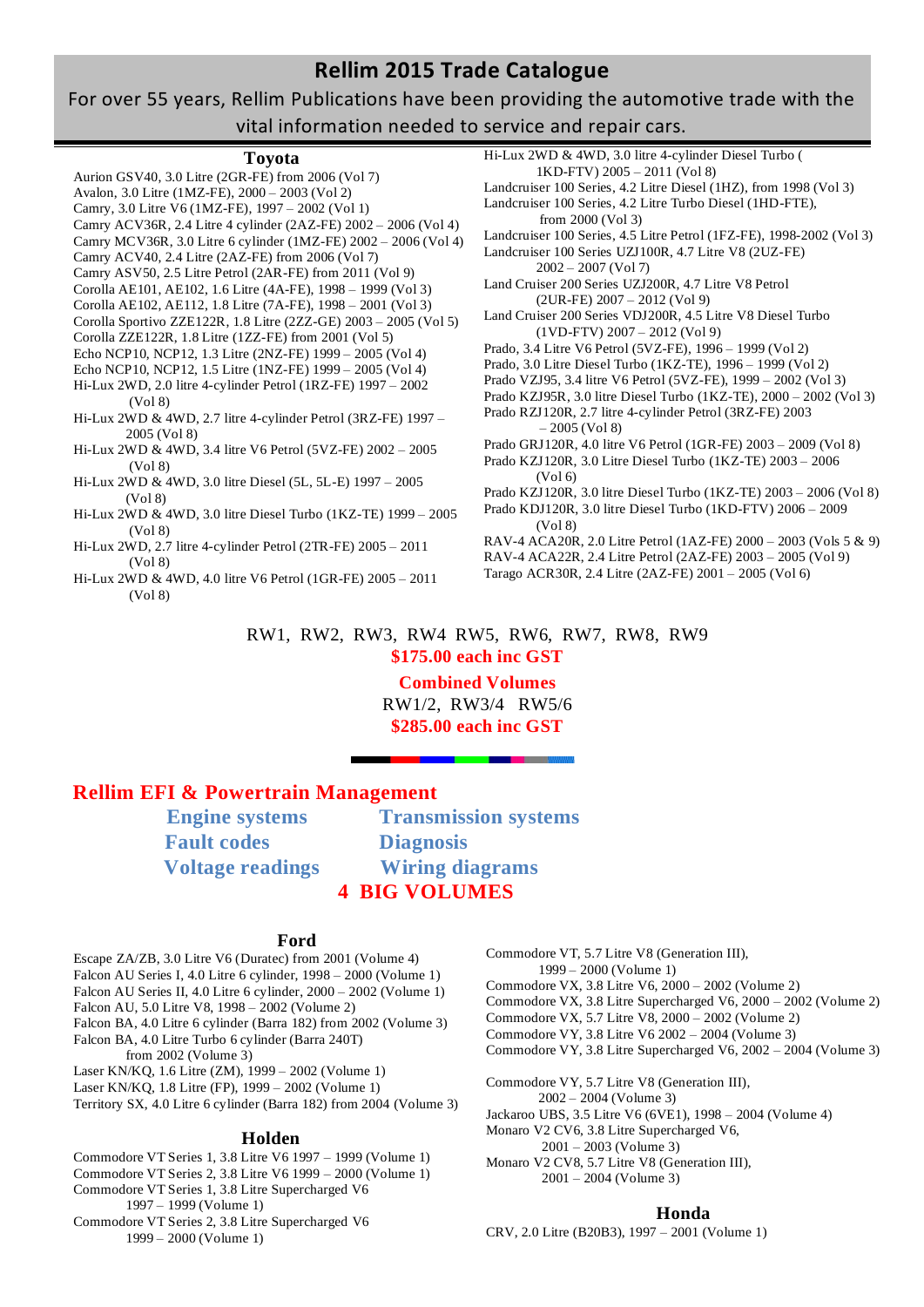## For over 55 years, Rellim Publications have been providing the automotive trade with the vital information needed to service and repair cars.

### **Toyota**

Aurion GSV40, 3.0 Litre (2GR-FE) from 2006 (Vol 7) Avalon, 3.0 Litre (1MZ-FE), 2000 – 2003 (Vol 2) Camry, 3.0 Litre V6 (1MZ-FE), 1997 – 2002 (Vol 1) Camry ACV36R, 2.4 Litre 4 cylinder (2AZ-FE) 2002 – 2006 (Vol 4) Camry MCV36R, 3.0 Litre 6 cylinder (1MZ-FE) 2002 – 2006 (Vol 4) Camry ACV40, 2.4 Litre (2AZ-FE) from 2006 (Vol 7) Camry ASV50, 2.5 Litre Petrol (2AR-FE) from 2011 (Vol 9) Corolla AE101, AE102, 1.6 Litre (4A-FE), 1998 – 1999 (Vol 3) Corolla AE102, AE112, 1.8 Litre (7A-FE), 1998 – 2001 (Vol 3) Corolla Sportivo ZZE122R, 1.8 Litre (2ZZ-GE) 2003 – 2005 (Vol 5) Corolla ZZE122R, 1.8 Litre (1ZZ-FE) from 2001 (Vol 5) Echo NCP10, NCP12, 1.3 Litre (2NZ-FE) 1999 – 2005 (Vol 4) Echo NCP10, NCP12, 1.5 Litre (1NZ-FE) 1999 – 2005 (Vol 4) Hi-Lux 2WD, 2.0 litre 4-cylinder Petrol (1RZ-FE) 1997 – 2002 (Vol 8) Hi-Lux 2WD & 4WD, 2.7 litre 4-cylinder Petrol (3RZ-FE) 1997 – 2005 (Vol 8) Hi-Lux 2WD & 4WD, 3.4 litre V6 Petrol (5VZ-FE) 2002 – 2005 (Vol 8) Hi-Lux 2WD & 4WD, 3.0 litre Diesel (5L, 5L-E) 1997 – 2005 (Vol 8) Hi-Lux 2WD & 4WD, 3.0 litre Diesel Turbo (1KZ-TE) 1999 – 2005 (Vol 8) Hi-Lux 2WD, 2.7 litre 4-cylinder Petrol (2TR-FE) 2005 – 2011 (Vol 8) Hi-Lux 2WD & 4WD, 4.0 litre V6 Petrol (1GR-FE) 2005 – 2011 (Vol 8) Hi-Lux 2WD & 4WD, 3.0 litre 4-cylinder Diesel Turbo (

Landcruiser 100 Series, 4.2 Litre Diesel (1HZ), from 1998 (Vol 3) Landcruiser 100 Series, 4.2 Litre Turbo Diesel (1HD-FTE), from 2000 (Vol 3) Landcruiser 100 Series, 4.5 Litre Petrol (1FZ-FE), 1998-2002 (Vol 3) Landcruiser 100 Series UZJ100R, 4.7 Litre V8 (2UZ-FE)  $2002 - 2007$  (Vol 7) Land Cruiser 200 Series UZJ200R, 4.7 Litre V8 Petrol (2UR-FE) 2007 – 2012 (Vol 9) Land Cruiser 200 Series VDJ200R, 4.5 Litre V8 Diesel Turbo (1VD-FTV) 2007 – 2012 (Vol 9) Prado, 3.4 Litre V6 Petrol (5VZ-FE), 1996 – 1999 (Vol 2) Prado, 3.0 Litre Diesel Turbo (1KZ-TE), 1996 – 1999 (Vol 2) Prado VZJ95, 3.4 litre V6 Petrol (5VZ-FE), 1999 – 2002 (Vol 3) Prado KZJ95R, 3.0 litre Diesel Turbo (1KZ-TE), 2000 – 2002 (Vol 3) Prado RZJ120R, 2.7 litre 4-cylinder Petrol (3RZ-FE) 2003 – 2005 (Vol 8) Prado GRJ120R, 4.0 litre V6 Petrol (1GR-FE) 2003 – 2009 (Vol 8) Prado KZJ120R, 3.0 Litre Diesel Turbo (1KZ-TE) 2003 – 2006 (Vol 6) Prado KZJ120R, 3.0 litre Diesel Turbo (1KZ-TE) 2003 – 2006 (Vol 8) Prado KDJ120R, 3.0 litre Diesel Turbo (1KD-FTV) 2006 – 2009 (Vol 8) RAV-4 ACA20R, 2.0 Litre Petrol (1AZ-FE) 2000 – 2003 (Vols 5 & 9) RAV-4 ACA22R, 2.4 Litre Petrol (2AZ-FE) 2003 – 2005 (Vol 9) Tarago ACR30R, 2.4 Litre (2AZ-FE) 2001 – 2005 (Vol 6)

1KD-FTV) 2005 – 2011 (Vol 8)

### RW1, RW2, RW3, RW4 RW5, RW6, RW7, RW8, RW9 **\$175.00 each inc GST**

## **Combined Volumes**

RW1/2, RW3/4 RW5/6 **\$285.00 each inc GST**

## **Rellim EFI & Powertrain Management**

 **Fault codes Diagnosis**

**Engine systems** Transmission systems  **Voltage readings Wiring diagrams 4 BIG VOLUMES**

### **Ford**

Escape ZA/ZB, 3.0 Litre V6 (Duratec) from 2001 (Volume 4) Falcon AU Series I, 4.0 Litre 6 cylinder, 1998 – 2000 (Volume 1) Falcon AU Series II, 4.0 Litre 6 cylinder, 2000 – 2002 (Volume 1) Falcon AU, 5.0 Litre V8, 1998 – 2002 (Volume 2) Falcon BA, 4.0 Litre 6 cylinder (Barra 182) from 2002 (Volume 3) Falcon BA, 4.0 Litre Turbo 6 cylinder (Barra 240T) from 2002 (Volume 3) Laser KN/KQ, 1.6 Litre (ZM), 1999 – 2002 (Volume 1) Laser KN/KQ, 1.8 Litre (FP), 1999 – 2002 (Volume 1) Territory SX, 4.0 Litre 6 cylinder (Barra 182) from 2004 (Volume 3) **Holden** Commodore VT Series 1, 3.8 Litre V6 1997 – 1999 (Volume 1)

Commodore VT Series 2, 3.8 Litre V6 1999 – 2000 (Volume 1) Commodore VT Series 1, 3.8 Litre Supercharged V6 1997 – 1999 (Volume 1) Commodore VT Series 2, 3.8 Litre Supercharged V6 1999 – 2000 (Volume 1)

Commodore VT, 5.7 Litre V8 (Generation III), 1999 – 2000 (Volume 1)

Commodore VX, 3.8 Litre V6, 2000 – 2002 (Volume 2)

Commodore VX, 3.8 Litre Supercharged V6, 2000 – 2002 (Volume 2)

- Commodore VX, 5.7 Litre V8, 2000 2002 (Volume 2)
- Commodore VY, 3.8 Litre V6 2002 2004 (Volume 3)
- Commodore VY, 3.8 Litre Supercharged V6, 2002 2004 (Volume 3)
- Commodore VY, 5.7 Litre V8 (Generation III),

2002 – 2004 (Volume 3)

- Jackaroo UBS, 3.5 Litre V6 (6VE1), 1998 2004 (Volume 4)
- Monaro V2 CV6, 3.8 Litre Supercharged V6,
	- 2001 2003 (Volume 3)
- Monaro V2 CV8, 5.7 Litre V8 (Generation III), 2001 – 2004 (Volume 3)

### **Honda**

CRV, 2.0 Litre (B20B3), 1997 – 2001 (Volume 1)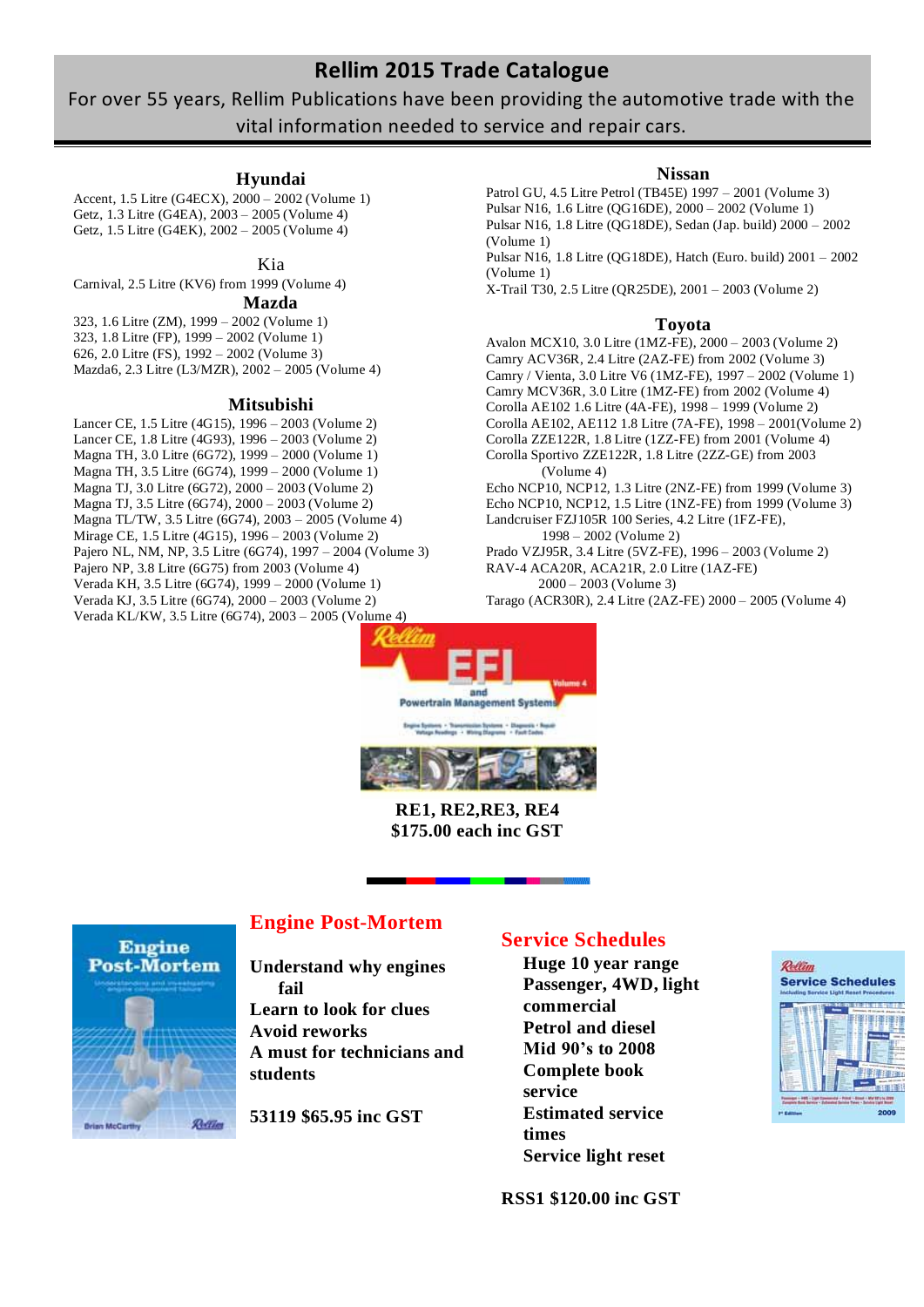# For over 55 years, Rellim Publications have been providing the automotive trade with the vital information needed to service and repair cars.

## **Hyundai**

Accent, 1.5 Litre (G4ECX), 2000 – 2002 (Volume 1) Getz, 1.3 Litre (G4EA), 2003 – 2005 (Volume 4) Getz, 1.5 Litre (G4EK), 2002 – 2005 (Volume 4)

### Kia

Carnival, 2.5 Litre (KV6) from 1999 (Volume 4) **Mazda**

323, 1.6 Litre (ZM), 1999 – 2002 (Volume 1) 323, 1.8 Litre (FP), 1999 – 2002 (Volume 1) 626, 2.0 Litre (FS), 1992 – 2002 (Volume 3) Mazda6, 2.3 Litre (L3/MZR), 2002 – 2005 (Volume 4)

#### **Mitsubishi**

Lancer CE, 1.5 Litre (4G15), 1996 – 2003 (Volume 2) Lancer CE, 1.8 Litre (4G93), 1996 – 2003 (Volume 2) Magna TH, 3.0 Litre (6G72), 1999 – 2000 (Volume 1) Magna TH, 3.5 Litre (6G74), 1999 – 2000 (Volume 1) Magna TJ, 3.0 Litre (6G72), 2000 – 2003 (Volume 2) Magna TJ, 3.5 Litre (6G74), 2000 – 2003 (Volume 2) Magna TL/TW, 3.5 Litre (6G74), 2003 – 2005 (Volume 4) Mirage CE, 1.5 Litre (4G15), 1996 – 2003 (Volume 2) Pajero NL, NM, NP, 3.5 Litre (6G74), 1997 – 2004 (Volume 3) Pajero NP, 3.8 Litre (6G75) from 2003 (Volume 4) Verada KH, 3.5 Litre (6G74), 1999 – 2000 (Volume 1) Verada KJ, 3.5 Litre (6G74), 2000 – 2003 (Volume 2) Verada KL/KW, 3.5 Litre (6G74), 2003 – 2005 (Volume 4)

### **Nissan**

Patrol GU, 4.5 Litre Petrol (TB45E) 1997 – 2001 (Volume 3) Pulsar N16, 1.6 Litre (QG16DE), 2000 – 2002 (Volume 1) Pulsar N16, 1.8 Litre (QG18DE), Sedan (Jap. build) 2000 – 2002 (Volume 1) Pulsar N16, 1.8 Litre (QG18DE), Hatch (Euro. build) 2001 – 2002

(Volume 1)

X-Trail T30, 2.5 Litre (QR25DE), 2001 – 2003 (Volume 2)

#### **Toyota**

Avalon MCX10, 3.0 Litre (1MZ-FE), 2000 – 2003 (Volume 2) Camry ACV36R, 2.4 Litre (2AZ-FE) from 2002 (Volume 3) Camry / Vienta, 3.0 Litre V6 (1MZ-FE), 1997 – 2002 (Volume 1) Camry MCV36R, 3.0 Litre (1MZ-FE) from 2002 (Volume 4) Corolla AE102 1.6 Litre (4A-FE), 1998 – 1999 (Volume 2) Corolla AE102, AE112 1.8 Litre (7A-FE), 1998 – 2001(Volume 2) Corolla ZZE122R, 1.8 Litre (1ZZ-FE) from 2001 (Volume 4) Corolla Sportivo ZZE122R, 1.8 Litre (2ZZ-GE) from 2003 (Volume 4) Echo NCP10, NCP12, 1.3 Litre (2NZ-FE) from 1999 (Volume 3) Echo NCP10, NCP12, 1.5 Litre (1NZ-FE) from 1999 (Volume 3)

Landcruiser FZJ105R 100 Series, 4.2 Litre (1FZ-FE), 1998 – 2002 (Volume 2) Prado VZJ95R, 3.4 Litre (5VZ-FE), 1996 – 2003 (Volume 2) RAV-4 ACA20R, ACA21R, 2.0 Litre (1AZ-FE) 2000 – 2003 (Volume 3)

Tarago (ACR30R), 2.4 Litre (2AZ-FE) 2000 – 2005 (Volume 4)





**RE1, RE2,RE3, RE4 \$175.00 each inc GST**



## **Engine Post-Mortem**

**Understand why engines fail**

**Learn to look for clues Avoid reworks A must for technicians and students**

**53119 \$65.95 inc GST**

## **Service Schedules**

**Huge 10 year range Passenger, 4WD, light commercial Petrol and diesel Mid 90's to 2008 Complete book service Estimated service times Service light reset**

**RSS1 \$120.00 inc GST**

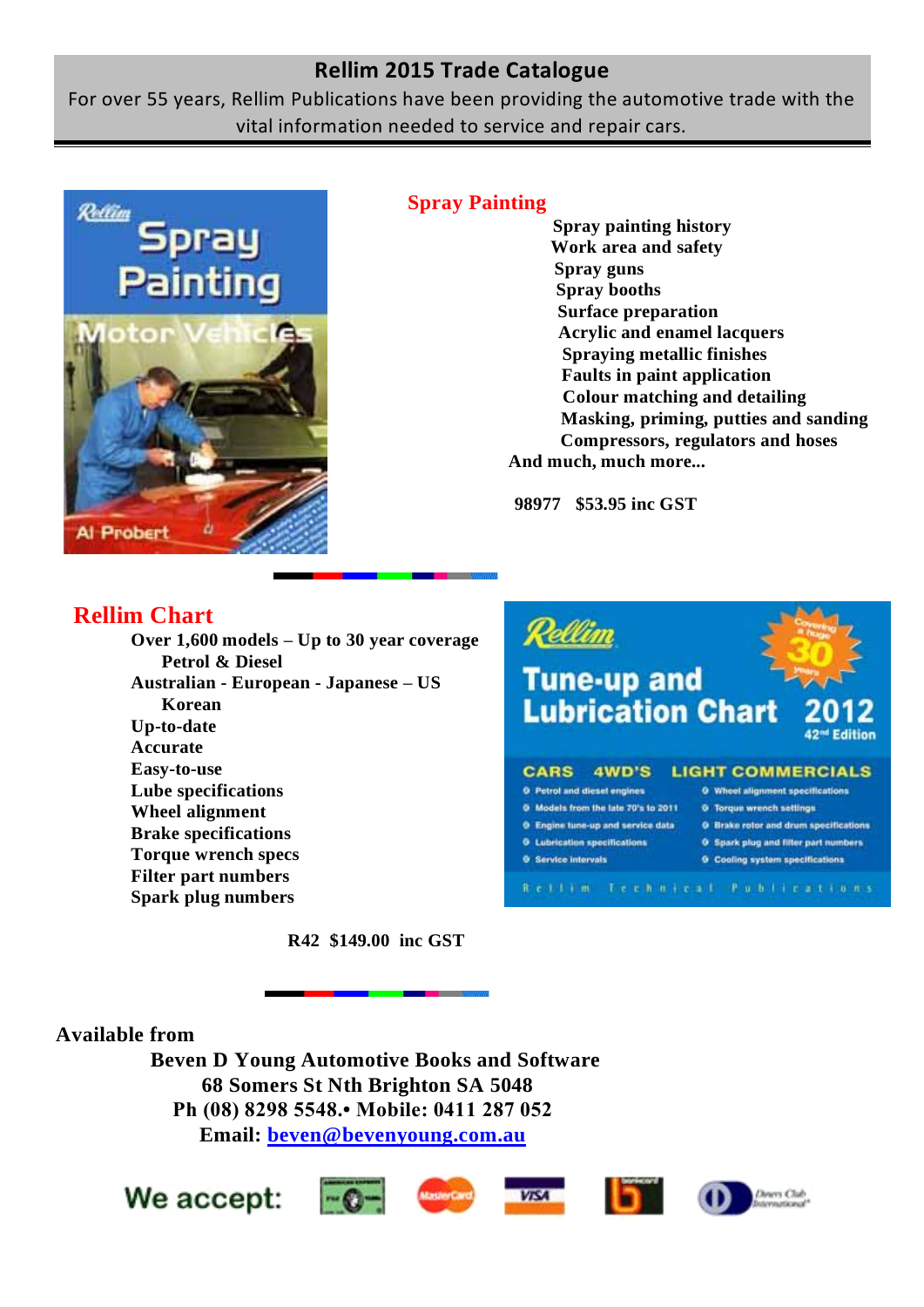For over 55 years, Rellim Publications have been providing the automotive trade with the vital information needed to service and repair cars.



## **Spray Painting**

**Spray painting history Work area and safety Spray guns Spray booths Surface preparation Acrylic and enamel lacquers Spraying metallic finishes Faults in paint application Colour matching and detailing Masking, priming, putties and sanding Compressors, regulators and hoses And much, much more...**

**98977 \$53.95 inc GST**

# **Rellim Chart**

**Over 1,600 models – Up to 30 year coverage Petrol & Diesel Australian - European - Japanese – US Korean Up-to-date Accurate Easy-to-use Lube specifications Wheel alignment Brake specifications Torque wrench specs Filter part numbers Spark plug numbers**



**R42 \$149.00 inc GST**

**Available from**

**Beven D Young Automotive Books and Software 68 Somers St Nth Brighton SA 5048 Ph (08) 8298 5548.• Mobile: 0411 287 052 Email: [beven@bevenyoung.com.au](mailto:beven@bevenyoung.com.au)**